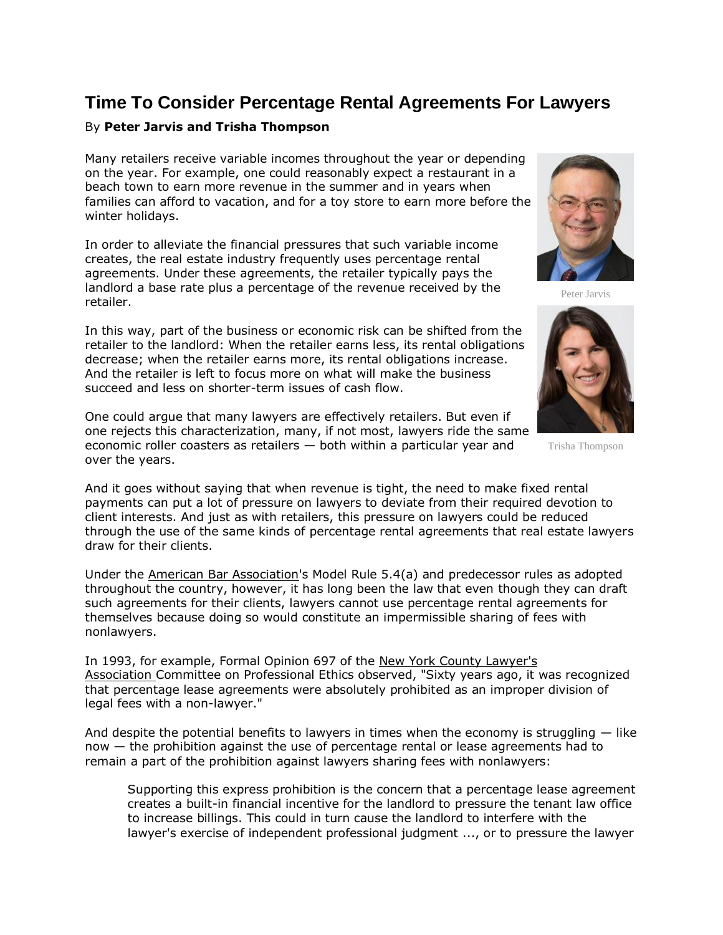## **Time To Consider Percentage Rental Agreements For Lawyers**

## By **Peter Jarvis and Trisha Thompson**

Many retailers receive variable incomes throughout the year or depending on the year. For example, one could reasonably expect a restaurant in a beach town to earn more revenue in the summer and in years when families can afford to vacation, and for a toy store to earn more before the winter holidays.

In order to alleviate the financial pressures that such variable income creates, the real estate industry frequently uses percentage rental agreements. Under these agreements, the retailer typically pays the landlord a base rate plus a percentage of the revenue received by the retailer.

In this way, part of the business or economic risk can be shifted from the retailer to the landlord: When the retailer earns less, its rental obligations decrease; when the retailer earns more, its rental obligations increase. And the retailer is left to focus more on what will make the business succeed and less on shorter-term issues of cash flow.

One could argue that many lawyers are effectively retailers. But even if one rejects this characterization, many, if not most, lawyers ride the same economic roller coasters as retailers — both within a particular year and over the years.



Peter Jarvis



Trisha Thompson

And it goes without saying that when revenue is tight, the need to make fixed rental payments can put a lot of pressure on lawyers to deviate from their required devotion to client interests. And just as with retailers, this pressure on lawyers could be reduced through the use of the same kinds of percentage rental agreements that real estate lawyers draw for their clients.

Under the [American Bar Association'](https://www.law360.com/companies/american-bar-association)s Model Rule 5.4(a) and predecessor rules as adopted throughout the country, however, it has long been the law that even though they can draft such agreements for their clients, lawyers cannot use percentage rental agreements for themselves because doing so would constitute an impermissible sharing of fees with nonlawyers.

In 1993, for example, Formal Opinion 697 of the [New York County Lawyer's](https://www.law360.com/companies/new-york-county-lawyers-association)  [Association](https://www.law360.com/companies/new-york-county-lawyers-association) Committee on Professional Ethics observed, "Sixty years ago, it was recognized that percentage lease agreements were absolutely prohibited as an improper division of legal fees with a non-lawyer."

And despite the potential benefits to lawyers in times when the economy is struggling  $-$  like now — the prohibition against the use of percentage rental or lease agreements had to remain a part of the prohibition against lawyers sharing fees with nonlawyers:

Supporting this express prohibition is the concern that a percentage lease agreement creates a built-in financial incentive for the landlord to pressure the tenant law office to increase billings. This could in turn cause the landlord to interfere with the lawyer's exercise of independent professional judgment ..., or to pressure the lawyer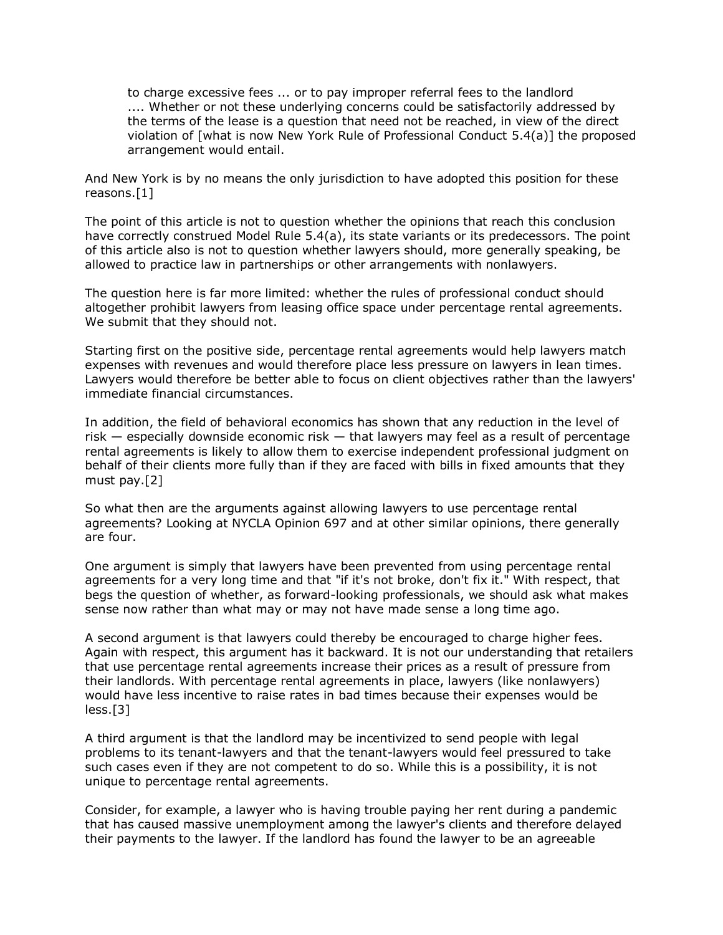to charge excessive fees ... or to pay improper referral fees to the landlord .... Whether or not these underlying concerns could be satisfactorily addressed by the terms of the lease is a question that need not be reached, in view of the direct violation of [what is now New York Rule of Professional Conduct 5.4(a)] the proposed arrangement would entail.

And New York is by no means the only jurisdiction to have adopted this position for these reasons.[1]

The point of this article is not to question whether the opinions that reach this conclusion have correctly construed Model Rule 5.4(a), its state variants or its predecessors. The point of this article also is not to question whether lawyers should, more generally speaking, be allowed to practice law in partnerships or other arrangements with nonlawyers.

The question here is far more limited: whether the rules of professional conduct should altogether prohibit lawyers from leasing office space under percentage rental agreements. We submit that they should not.

Starting first on the positive side, percentage rental agreements would help lawyers match expenses with revenues and would therefore place less pressure on lawyers in lean times. Lawyers would therefore be better able to focus on client objectives rather than the lawyers' immediate financial circumstances.

In addition, the field of behavioral economics has shown that any reduction in the level of risk  $-$  especially downside economic risk  $-$  that lawyers may feel as a result of percentage rental agreements is likely to allow them to exercise independent professional judgment on behalf of their clients more fully than if they are faced with bills in fixed amounts that they must pay.[2]

So what then are the arguments against allowing lawyers to use percentage rental agreements? Looking at NYCLA Opinion 697 and at other similar opinions, there generally are four.

One argument is simply that lawyers have been prevented from using percentage rental agreements for a very long time and that "if it's not broke, don't fix it." With respect, that begs the question of whether, as forward-looking professionals, we should ask what makes sense now rather than what may or may not have made sense a long time ago.

A second argument is that lawyers could thereby be encouraged to charge higher fees. Again with respect, this argument has it backward. It is not our understanding that retailers that use percentage rental agreements increase their prices as a result of pressure from their landlords. With percentage rental agreements in place, lawyers (like nonlawyers) would have less incentive to raise rates in bad times because their expenses would be less.[3]

A third argument is that the landlord may be incentivized to send people with legal problems to its tenant-lawyers and that the tenant-lawyers would feel pressured to take such cases even if they are not competent to do so. While this is a possibility, it is not unique to percentage rental agreements.

Consider, for example, a lawyer who is having trouble paying her rent during a pandemic that has caused massive unemployment among the lawyer's clients and therefore delayed their payments to the lawyer. If the landlord has found the lawyer to be an agreeable